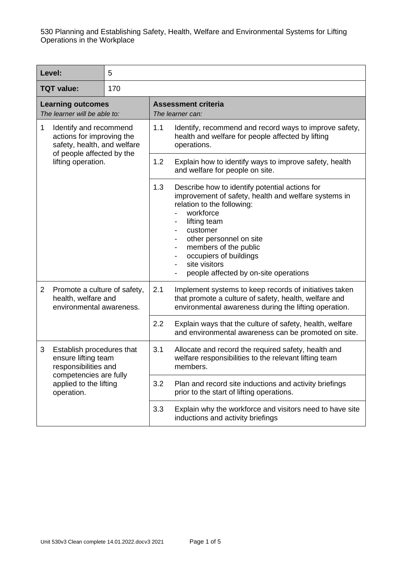|                                                          | Level:                                                                                                                                     | 5   |                                                                                                                                                                                                                                                                                                                       |                                                                                                                                                                          |
|----------------------------------------------------------|--------------------------------------------------------------------------------------------------------------------------------------------|-----|-----------------------------------------------------------------------------------------------------------------------------------------------------------------------------------------------------------------------------------------------------------------------------------------------------------------------|--------------------------------------------------------------------------------------------------------------------------------------------------------------------------|
| <b>TQT value:</b>                                        |                                                                                                                                            | 170 |                                                                                                                                                                                                                                                                                                                       |                                                                                                                                                                          |
| <b>Learning outcomes</b><br>The learner will be able to: |                                                                                                                                            |     | <b>Assessment criteria</b><br>The learner can:                                                                                                                                                                                                                                                                        |                                                                                                                                                                          |
| 1                                                        | Identify and recommend<br>actions for improving the<br>safety, health, and welfare                                                         |     | 1.1                                                                                                                                                                                                                                                                                                                   | Identify, recommend and record ways to improve safety,<br>health and welfare for people affected by lifting<br>operations.                                               |
| of people affected by the<br>lifting operation.          |                                                                                                                                            |     | 1.2                                                                                                                                                                                                                                                                                                                   | Explain how to identify ways to improve safety, health<br>and welfare for people on site.                                                                                |
|                                                          |                                                                                                                                            | 1.3 | Describe how to identify potential actions for<br>improvement of safety, health and welfare systems in<br>relation to the following:<br>workforce<br>lifting team<br>customer<br>other personnel on site<br>members of the public<br>occupiers of buildings<br>site visitors<br>people affected by on-site operations |                                                                                                                                                                          |
| $\overline{2}$                                           | Promote a culture of safety,<br>health, welfare and<br>environmental awareness.                                                            |     | 2.1                                                                                                                                                                                                                                                                                                                   | Implement systems to keep records of initiatives taken<br>that promote a culture of safety, health, welfare and<br>environmental awareness during the lifting operation. |
|                                                          |                                                                                                                                            |     | 2.2                                                                                                                                                                                                                                                                                                                   | Explain ways that the culture of safety, health, welfare<br>and environmental awareness can be promoted on site.                                                         |
| 3                                                        | Establish procedures that<br>ensure lifting team<br>responsibilities and<br>competencies are fully<br>applied to the lifting<br>operation. |     | 3.1                                                                                                                                                                                                                                                                                                                   | Allocate and record the required safety, health and<br>welfare responsibilities to the relevant lifting team<br>members.                                                 |
|                                                          |                                                                                                                                            |     | 3.2                                                                                                                                                                                                                                                                                                                   | Plan and record site inductions and activity briefings<br>prior to the start of lifting operations.                                                                      |
|                                                          |                                                                                                                                            |     | 3.3                                                                                                                                                                                                                                                                                                                   | Explain why the workforce and visitors need to have site<br>inductions and activity briefings                                                                            |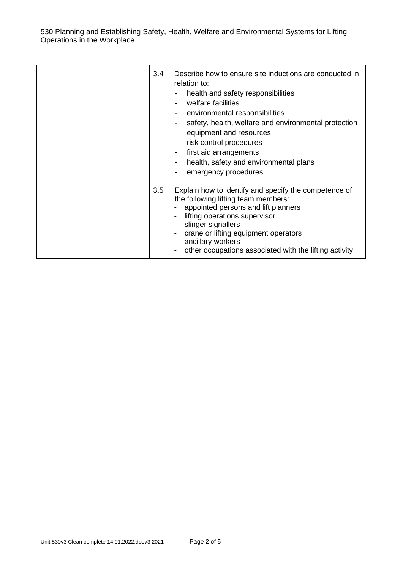530 Planning and Establishing Safety, Health, Welfare and Environmental Systems for Lifting Operations in the Workplace

| 3.4 | Describe how to ensure site inductions are conducted in<br>relation to:<br>health and safety responsibilities<br>welfare facilities<br>environmental responsibilities<br>safety, health, welfare and environmental protection<br>equipment and resources<br>risk control procedures<br>$\blacksquare$<br>first aid arrangements<br>health, safety and environmental plans<br>emergency procedures |
|-----|---------------------------------------------------------------------------------------------------------------------------------------------------------------------------------------------------------------------------------------------------------------------------------------------------------------------------------------------------------------------------------------------------|
| 3.5 | Explain how to identify and specify the competence of<br>the following lifting team members:<br>appointed persons and lift planners<br>lifting operations supervisor<br>- slinger signallers<br>crane or lifting equipment operators<br>ancillary workers<br>other occupations associated with the lifting activity                                                                               |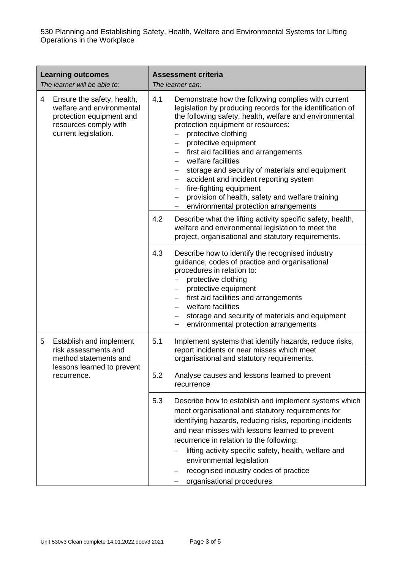530 Planning and Establishing Safety, Health, Welfare and Environmental Systems for Lifting Operations in the Workplace

| <b>Learning outcomes</b><br>The learner will be able to: |                                                                                                                                      | <b>Assessment criteria</b><br>The learner can:                                                                                                                                                                                                                                                                                                                                                                                                                                                                                                                                                                                                                                             |  |
|----------------------------------------------------------|--------------------------------------------------------------------------------------------------------------------------------------|--------------------------------------------------------------------------------------------------------------------------------------------------------------------------------------------------------------------------------------------------------------------------------------------------------------------------------------------------------------------------------------------------------------------------------------------------------------------------------------------------------------------------------------------------------------------------------------------------------------------------------------------------------------------------------------------|--|
| 4                                                        | Ensure the safety, health,<br>welfare and environmental<br>protection equipment and<br>resources comply with<br>current legislation. | 4.1<br>Demonstrate how the following complies with current<br>legislation by producing records for the identification of<br>the following safety, health, welfare and environmental<br>protection equipment or resources:<br>protective clothing<br>protective equipment<br>$\overline{\phantom{0}}$<br>first aid facilities and arrangements<br>$\overline{\phantom{0}}$<br>welfare facilities<br>storage and security of materials and equipment<br>$\qquad \qquad -$<br>accident and incident reporting system<br>$\qquad \qquad -$<br>fire-fighting equipment<br>$\overline{\phantom{0}}$<br>provision of health, safety and welfare training<br>environmental protection arrangements |  |
|                                                          |                                                                                                                                      | 4.2<br>Describe what the lifting activity specific safety, health,<br>welfare and environmental legislation to meet the<br>project, organisational and statutory requirements.                                                                                                                                                                                                                                                                                                                                                                                                                                                                                                             |  |
|                                                          |                                                                                                                                      | 4.3<br>Describe how to identify the recognised industry<br>guidance, codes of practice and organisational<br>procedures in relation to:<br>protective clothing<br>protective equipment<br>$-$<br>first aid facilities and arrangements<br>$-$<br>welfare facilities<br>storage and security of materials and equipment<br>$\qquad \qquad -$<br>environmental protection arrangements                                                                                                                                                                                                                                                                                                       |  |
| 5                                                        | Establish and implement<br>risk assessments and<br>method statements and<br>lessons learned to prevent<br>recurrence.                | 5.1<br>Implement systems that identify hazards, reduce risks,<br>report incidents or near misses which meet<br>organisational and statutory requirements.                                                                                                                                                                                                                                                                                                                                                                                                                                                                                                                                  |  |
|                                                          |                                                                                                                                      | 5.2<br>Analyse causes and lessons learned to prevent<br>recurrence                                                                                                                                                                                                                                                                                                                                                                                                                                                                                                                                                                                                                         |  |
|                                                          |                                                                                                                                      | 5.3<br>Describe how to establish and implement systems which<br>meet organisational and statutory requirements for<br>identifying hazards, reducing risks, reporting incidents<br>and near misses with lessons learned to prevent<br>recurrence in relation to the following:<br>lifting activity specific safety, health, welfare and<br>environmental legislation<br>recognised industry codes of practice<br>organisational procedures                                                                                                                                                                                                                                                  |  |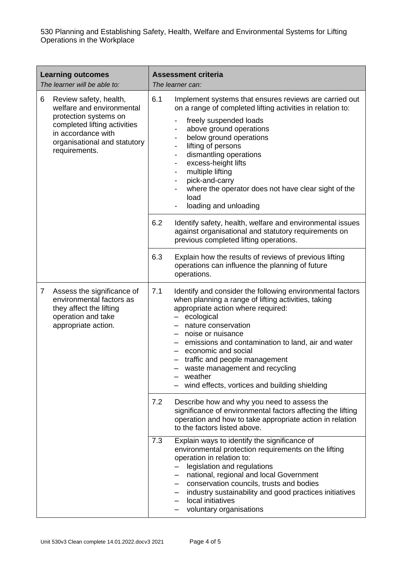530 Planning and Establishing Safety, Health, Welfare and Environmental Systems for Lifting Operations in the Workplace

| <b>Learning outcomes</b><br>The learner will be able to: |                                                                                                                                                                                     | <b>Assessment criteria</b><br>The learner can:                                                                                                                                                                                                                                                                                                                                                                                                      |
|----------------------------------------------------------|-------------------------------------------------------------------------------------------------------------------------------------------------------------------------------------|-----------------------------------------------------------------------------------------------------------------------------------------------------------------------------------------------------------------------------------------------------------------------------------------------------------------------------------------------------------------------------------------------------------------------------------------------------|
| 6                                                        | Review safety, health,<br>welfare and environmental<br>protection systems on<br>completed lifting activities<br>in accordance with<br>organisational and statutory<br>requirements. | 6.1<br>Implement systems that ensures reviews are carried out<br>on a range of completed lifting activities in relation to:<br>freely suspended loads<br>above ground operations<br>-<br>below ground operations<br>-<br>lifting of persons<br>-<br>dismantling operations<br>-<br>excess-height lifts<br>-<br>multiple lifting<br>-<br>pick-and-carry<br>-<br>where the operator does not have clear sight of the<br>load<br>loading and unloading |
|                                                          |                                                                                                                                                                                     | 6.2<br>Identify safety, health, welfare and environmental issues<br>against organisational and statutory requirements on<br>previous completed lifting operations.                                                                                                                                                                                                                                                                                  |
|                                                          |                                                                                                                                                                                     | 6.3<br>Explain how the results of reviews of previous lifting<br>operations can influence the planning of future<br>operations.                                                                                                                                                                                                                                                                                                                     |
| 7                                                        | Assess the significance of<br>environmental factors as<br>they affect the lifting<br>operation and take<br>appropriate action.                                                      | 7.1<br>Identify and consider the following environmental factors<br>when planning a range of lifting activities, taking<br>appropriate action where required:<br>ecological<br>nature conservation<br>noise or nuisance<br>$-$<br>emissions and contamination to land, air and water<br>- economic and social<br>- traffic and people management<br>waste management and recycling<br>weather<br>wind effects, vortices and building shielding      |
|                                                          |                                                                                                                                                                                     | 7.2<br>Describe how and why you need to assess the<br>significance of environmental factors affecting the lifting<br>operation and how to take appropriate action in relation<br>to the factors listed above.                                                                                                                                                                                                                                       |
|                                                          |                                                                                                                                                                                     | 7.3<br>Explain ways to identify the significance of<br>environmental protection requirements on the lifting<br>operation in relation to:<br>legislation and regulations<br>national, regional and local Government<br>conservation councils, trusts and bodies<br>industry sustainability and good practices initiatives<br>local initiatives<br>voluntary organisations                                                                            |